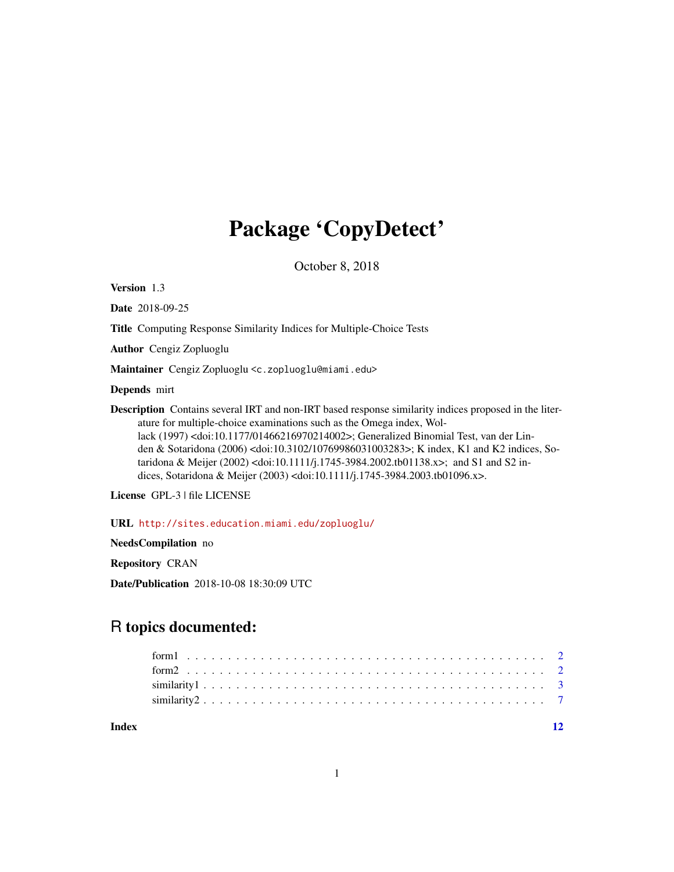## Package 'CopyDetect'

October 8, 2018

Version 1.3

Date 2018-09-25

Title Computing Response Similarity Indices for Multiple-Choice Tests

Author Cengiz Zopluoglu

Maintainer Cengiz Zopluoglu <c.zopluoglu@miami.edu>

Depends mirt

Description Contains several IRT and non-IRT based response similarity indices proposed in the literature for multiple-choice examinations such as the Omega index, Wollack (1997) <doi:10.1177/01466216970214002>; Generalized Binomial Test, van der Linden & Sotaridona (2006) <doi:10.3102/10769986031003283>; K index, K1 and K2 indices, Sotaridona & Meijer (2002) <doi:10.1111/j.1745-3984.2002.tb01138.x>; and S1 and S2 indices, Sotaridona & Meijer (2003) <doi:10.1111/j.1745-3984.2003.tb01096.x>.

License GPL-3 | file LICENSE

URL <http://sites.education.miami.edu/zopluoglu/>

NeedsCompilation no

Repository CRAN

Date/Publication 2018-10-08 18:30:09 UTC

### R topics documented:

**Index** [12](#page-11-0)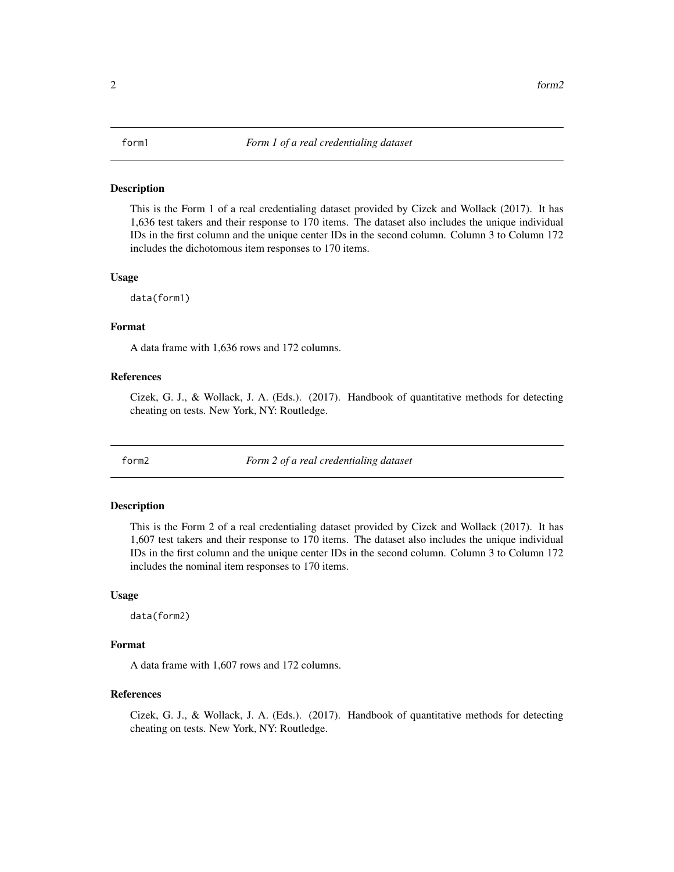#### <span id="page-1-0"></span>Description

This is the Form 1 of a real credentialing dataset provided by Cizek and Wollack (2017). It has 1,636 test takers and their response to 170 items. The dataset also includes the unique individual IDs in the first column and the unique center IDs in the second column. Column 3 to Column 172 includes the dichotomous item responses to 170 items.

#### Usage

data(form1)

#### Format

A data frame with 1,636 rows and 172 columns.

#### References

Cizek, G. J., & Wollack, J. A. (Eds.). (2017). Handbook of quantitative methods for detecting cheating on tests. New York, NY: Routledge.

form2 *Form 2 of a real credentialing dataset*

#### Description

This is the Form 2 of a real credentialing dataset provided by Cizek and Wollack (2017). It has 1,607 test takers and their response to 170 items. The dataset also includes the unique individual IDs in the first column and the unique center IDs in the second column. Column 3 to Column 172 includes the nominal item responses to 170 items.

#### Usage

data(form2)

#### Format

A data frame with 1,607 rows and 172 columns.

#### **References**

Cizek, G. J., & Wollack, J. A. (Eds.). (2017). Handbook of quantitative methods for detecting cheating on tests. New York, NY: Routledge.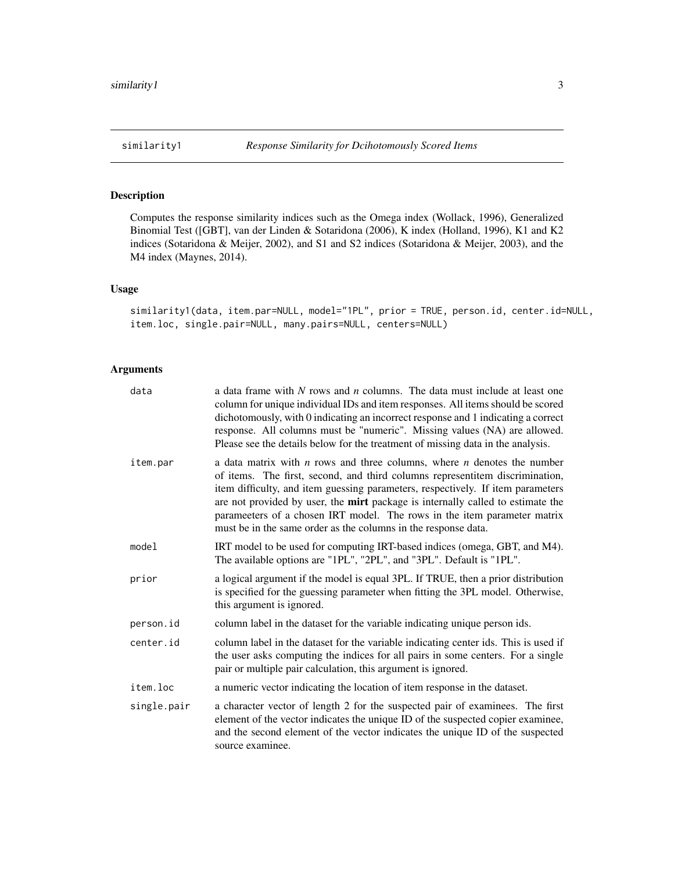<span id="page-2-1"></span><span id="page-2-0"></span>

#### Description

Computes the response similarity indices such as the Omega index (Wollack, 1996), Generalized Binomial Test ([GBT], van der Linden & Sotaridona (2006), K index (Holland, 1996), K1 and K2 indices (Sotaridona & Meijer, 2002), and S1 and S2 indices (Sotaridona & Meijer, 2003), and the M4 index (Maynes, 2014).

#### Usage

similarity1(data, item.par=NULL, model="1PL", prior = TRUE, person.id, center.id=NULL, item.loc, single.pair=NULL, many.pairs=NULL, centers=NULL)

#### Arguments

| data        | a data frame with N rows and n columns. The data must include at least one<br>column for unique individual IDs and item responses. All items should be scored<br>dichotomously, with 0 indicating an incorrect response and 1 indicating a correct<br>response. All columns must be "numeric". Missing values (NA) are allowed.<br>Please see the details below for the treatment of missing data in the analysis.                                                              |
|-------------|---------------------------------------------------------------------------------------------------------------------------------------------------------------------------------------------------------------------------------------------------------------------------------------------------------------------------------------------------------------------------------------------------------------------------------------------------------------------------------|
| item.par    | a data matrix with $n$ rows and three columns, where $n$ denotes the number<br>of items. The first, second, and third columns representitem discrimination,<br>item difficulty, and item guessing parameters, respectively. If item parameters<br>are not provided by user, the mirt package is internally called to estimate the<br>parameeters of a chosen IRT model. The rows in the item parameter matrix<br>must be in the same order as the columns in the response data. |
| model       | IRT model to be used for computing IRT-based indices (omega, GBT, and M4).<br>The available options are "1PL", "2PL", and "3PL". Default is "1PL".                                                                                                                                                                                                                                                                                                                              |
| prior       | a logical argument if the model is equal 3PL. If TRUE, then a prior distribution<br>is specified for the guessing parameter when fitting the 3PL model. Otherwise,<br>this argument is ignored.                                                                                                                                                                                                                                                                                 |
| person.id   | column label in the dataset for the variable indicating unique person ids.                                                                                                                                                                                                                                                                                                                                                                                                      |
| center.id   | column label in the dataset for the variable indicating center ids. This is used if<br>the user asks computing the indices for all pairs in some centers. For a single<br>pair or multiple pair calculation, this argument is ignored.                                                                                                                                                                                                                                          |
| item.loc    | a numeric vector indicating the location of item response in the dataset.                                                                                                                                                                                                                                                                                                                                                                                                       |
| single.pair | a character vector of length 2 for the suspected pair of examinees. The first<br>element of the vector indicates the unique ID of the suspected copier examinee,<br>and the second element of the vector indicates the unique ID of the suspected<br>source examinee.                                                                                                                                                                                                           |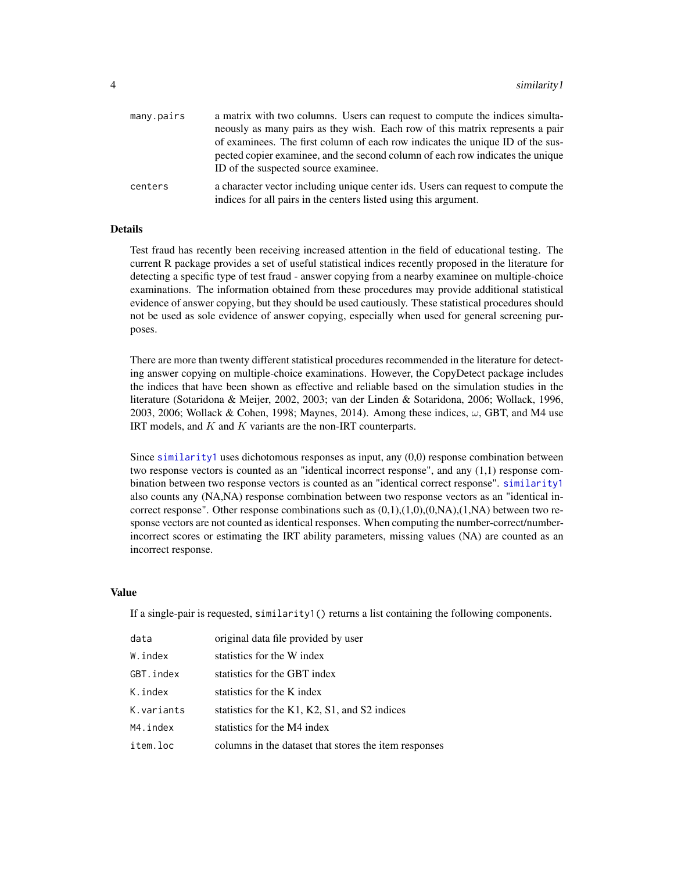<span id="page-3-0"></span>

| many.pairs | a matrix with two columns. Users can request to compute the indices simulta-     |
|------------|----------------------------------------------------------------------------------|
|            | neously as many pairs as they wish. Each row of this matrix represents a pair    |
|            | of examinees. The first column of each row indicates the unique ID of the sus-   |
|            | pected copier examinee, and the second column of each row indicates the unique   |
|            | ID of the suspected source examinee.                                             |
| centers    | a character vector including unique center ids. Users can request to compute the |
|            | indices for all pairs in the centers listed using this argument.                 |

#### Details

Test fraud has recently been receiving increased attention in the field of educational testing. The current R package provides a set of useful statistical indices recently proposed in the literature for detecting a specific type of test fraud - answer copying from a nearby examinee on multiple-choice examinations. The information obtained from these procedures may provide additional statistical evidence of answer copying, but they should be used cautiously. These statistical procedures should not be used as sole evidence of answer copying, especially when used for general screening purposes.

There are more than twenty different statistical procedures recommended in the literature for detecting answer copying on multiple-choice examinations. However, the CopyDetect package includes the indices that have been shown as effective and reliable based on the simulation studies in the literature (Sotaridona & Meijer, 2002, 2003; van der Linden & Sotaridona, 2006; Wollack, 1996, 2003, 2006; Wollack & Cohen, 1998; Maynes, 2014). Among these indices,  $\omega$ , GBT, and M4 use IRT models, and  $K$  and  $K$  variants are the non-IRT counterparts.

Since [similarity1](#page-2-1) uses dichotomous responses as input, any (0,0) response combination between two response vectors is counted as an "identical incorrect response", and any (1,1) response combination between two response vectors is counted as an "identical correct response". [similarity1](#page-2-1) also counts any (NA,NA) response combination between two response vectors as an "identical incorrect response". Other response combinations such as  $(0,1),(1,0),(0,N)$ , $(1,N)$  between two response vectors are not counted as identical responses. When computing the number-correct/numberincorrect scores or estimating the IRT ability parameters, missing values (NA) are counted as an incorrect response.

#### Value

If a single-pair is requested,  $\sin\theta$  is a list containing the following components.

| data       | original data file provided by user                   |
|------------|-------------------------------------------------------|
| W.index    | statistics for the W index                            |
| GBT.index  | statistics for the GBT index                          |
| K.index    | statistics for the K index                            |
| K.variants | statistics for the K1, K2, S1, and S2 indices         |
| M4.index   | statistics for the M4 index                           |
| item.loc   | columns in the dataset that stores the item responses |
|            |                                                       |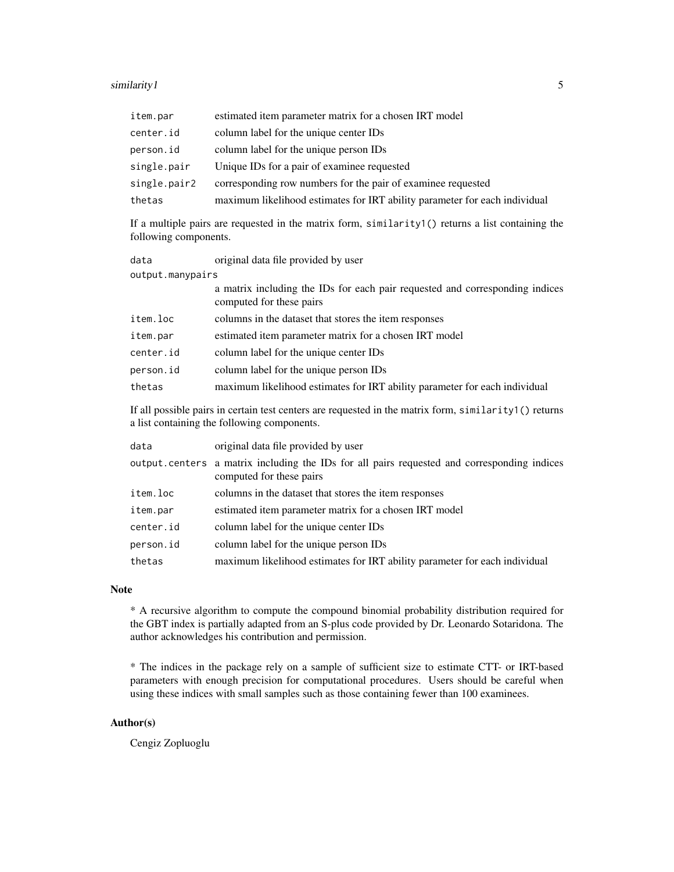#### similarity 1 55 to 1999 and 2009 and 2009 and 2009 and 2009 and 2009 and 2009 and 2009 and 2009 and 2009 and 20

| item.par     | estimated item parameter matrix for a chosen IRT model                     |
|--------------|----------------------------------------------------------------------------|
| center.id    | column label for the unique center IDs                                     |
| person.id    | column label for the unique person IDs                                     |
| single.pair  | Unique IDs for a pair of examinee requested                                |
| single.pair2 | corresponding row numbers for the pair of examinee requested               |
| thetas       | maximum likelihood estimates for IRT ability parameter for each individual |

If a multiple pairs are requested in the matrix form, similarity1() returns a list containing the following components.

| data             | original data file provided by user                                                                      |
|------------------|----------------------------------------------------------------------------------------------------------|
| output.manypairs |                                                                                                          |
|                  | a matrix including the IDs for each pair requested and corresponding indices<br>computed for these pairs |
| item.loc         | columns in the dataset that stores the item responses                                                    |
| item.par         | estimated item parameter matrix for a chosen IRT model                                                   |
| center.id        | column label for the unique center IDs                                                                   |
| person.id        | column label for the unique person IDs                                                                   |
| thetas           | maximum likelihood estimates for IRT ability parameter for each individual                               |

If all possible pairs in certain test centers are requested in the matrix form, similarity1() returns a list containing the following components.

| data      | original data file provided by user                                                                                     |
|-----------|-------------------------------------------------------------------------------------------------------------------------|
|           | output centers a matrix including the IDs for all pairs requested and corresponding indices<br>computed for these pairs |
| item.loc  | columns in the dataset that stores the item responses                                                                   |
| item.par  | estimated item parameter matrix for a chosen IRT model                                                                  |
| center.id | column label for the unique center IDs                                                                                  |
| person.id | column label for the unique person IDs                                                                                  |
| thetas    | maximum likelihood estimates for IRT ability parameter for each individual                                              |

#### Note

\* A recursive algorithm to compute the compound binomial probability distribution required for the GBT index is partially adapted from an S-plus code provided by Dr. Leonardo Sotaridona. The author acknowledges his contribution and permission.

\* The indices in the package rely on a sample of sufficient size to estimate CTT- or IRT-based parameters with enough precision for computational procedures. Users should be careful when using these indices with small samples such as those containing fewer than 100 examinees.

#### Author(s)

Cengiz Zopluoglu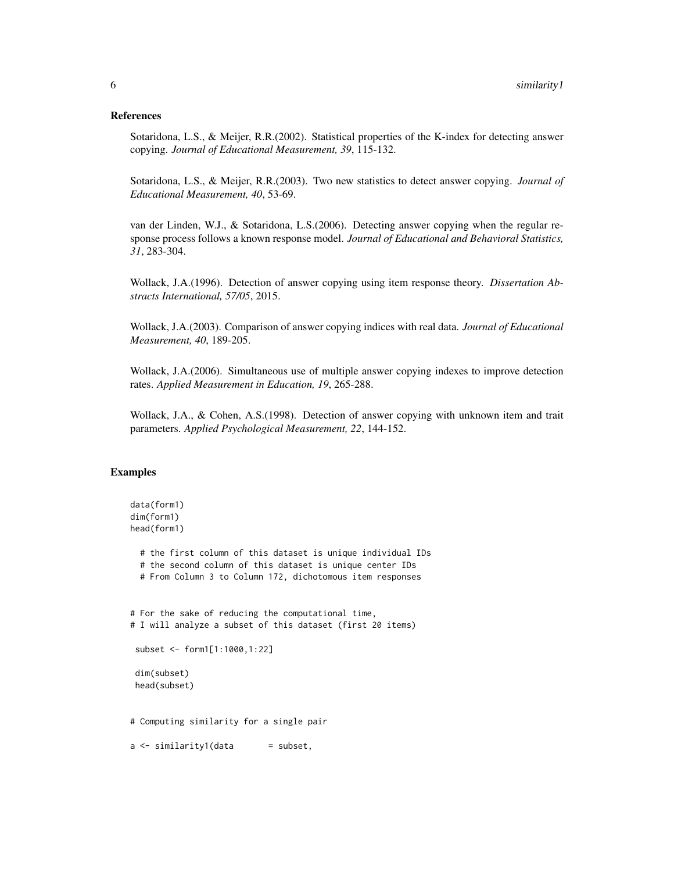#### References

Sotaridona, L.S., & Meijer, R.R.(2002). Statistical properties of the K-index for detecting answer copying. *Journal of Educational Measurement, 39*, 115-132.

Sotaridona, L.S., & Meijer, R.R.(2003). Two new statistics to detect answer copying. *Journal of Educational Measurement, 40*, 53-69.

van der Linden, W.J., & Sotaridona, L.S.(2006). Detecting answer copying when the regular response process follows a known response model. *Journal of Educational and Behavioral Statistics, 31*, 283-304.

Wollack, J.A.(1996). Detection of answer copying using item response theory. *Dissertation Abstracts International, 57/05*, 2015.

Wollack, J.A.(2003). Comparison of answer copying indices with real data. *Journal of Educational Measurement, 40*, 189-205.

Wollack, J.A.(2006). Simultaneous use of multiple answer copying indexes to improve detection rates. *Applied Measurement in Education, 19*, 265-288.

Wollack, J.A., & Cohen, A.S.(1998). Detection of answer copying with unknown item and trait parameters. *Applied Psychological Measurement, 22*, 144-152.

#### Examples

```
data(form1)
dim(form1)
head(form1)
 # the first column of this dataset is unique individual IDs
 # the second column of this dataset is unique center IDs
 # From Column 3 to Column 172, dichotomous item responses
# For the sake of reducing the computational time,
# I will analyze a subset of this dataset (first 20 items)
 subset <- form1[1:1000,1:22]
 dim(subset)
 head(subset)
# Computing similarity for a single pair
a \leftarrow similarity1(data = subset,
```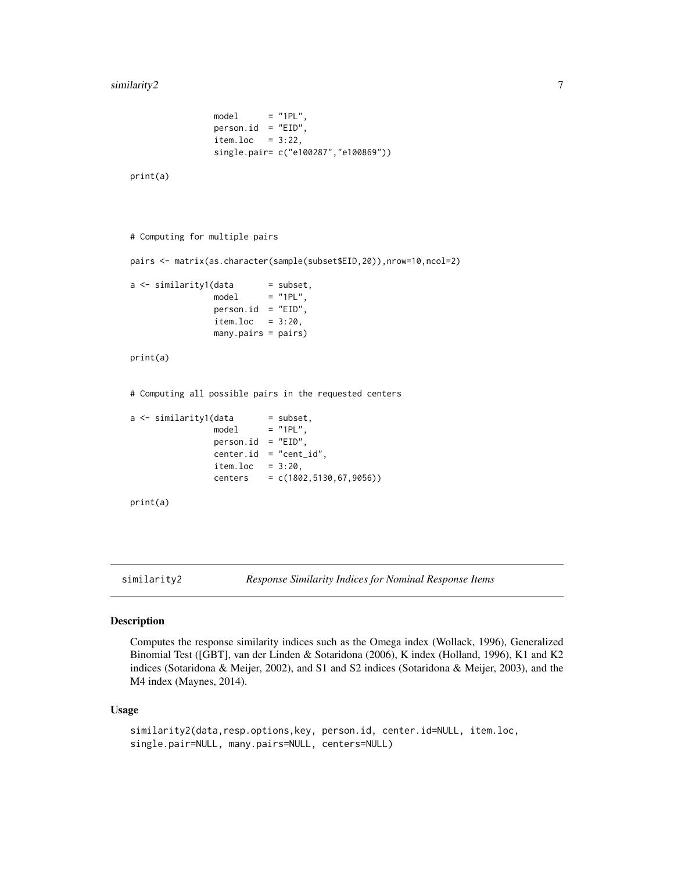```
model = "1PL",person.id = "EID",
item.loc = 3:22,single.pair= c("e100287","e100869"))
```
print(a)

```
# Computing for multiple pairs
```
pairs <- matrix(as.character(sample(subset\$EID,20)),nrow=10,ncol=2)

 $a \leftarrow$  similarity1(data = subset,  $model = "1PL",$ person.id = "EID",  $item.loc =  $3:20$ ,$ many.pairs = pairs)

#### print(a)

# Computing all possible pairs in the requested centers

```
a \leq - \sinilarity1(data \qquad = \text{subset},model = "1PL"person.id = "EID",
                  center.id = "cent_id",
                  item.loc = <math>3:20</math>,centers = c(1802,5130,67,9056))
```

```
print(a)
```
<span id="page-6-1"></span>similarity2 *Response Similarity Indices for Nominal Response Items*

#### Description

Computes the response similarity indices such as the Omega index (Wollack, 1996), Generalized Binomial Test ([GBT], van der Linden & Sotaridona (2006), K index (Holland, 1996), K1 and K2 indices (Sotaridona & Meijer, 2002), and S1 and S2 indices (Sotaridona & Meijer, 2003), and the M4 index (Maynes, 2014).

#### Usage

```
similarity2(data,resp.options,key, person.id, center.id=NULL, item.loc,
single.pair=NULL, many.pairs=NULL, centers=NULL)
```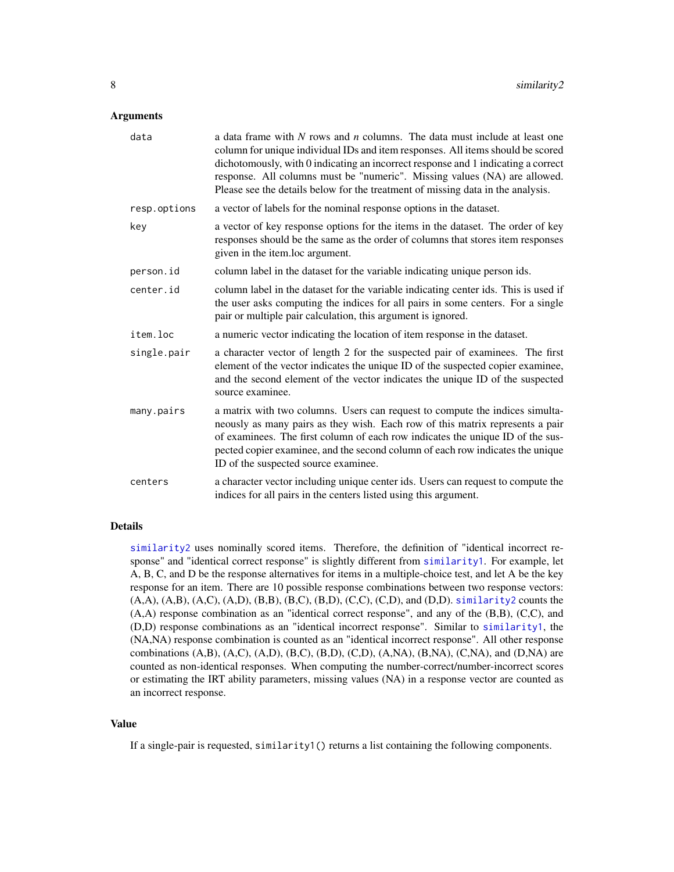#### <span id="page-7-0"></span>Arguments

| data         | a data frame with $N$ rows and $n$ columns. The data must include at least one<br>column for unique individual IDs and item responses. All items should be scored<br>dichotomously, with 0 indicating an incorrect response and 1 indicating a correct<br>response. All columns must be "numeric". Missing values (NA) are allowed.<br>Please see the details below for the treatment of missing data in the analysis. |
|--------------|------------------------------------------------------------------------------------------------------------------------------------------------------------------------------------------------------------------------------------------------------------------------------------------------------------------------------------------------------------------------------------------------------------------------|
| resp.options | a vector of labels for the nominal response options in the dataset.                                                                                                                                                                                                                                                                                                                                                    |
| key          | a vector of key response options for the items in the dataset. The order of key<br>responses should be the same as the order of columns that stores item responses<br>given in the item.loc argument.                                                                                                                                                                                                                  |
| person.id    | column label in the dataset for the variable indicating unique person ids.                                                                                                                                                                                                                                                                                                                                             |
| center.id    | column label in the dataset for the variable indicating center ids. This is used if<br>the user asks computing the indices for all pairs in some centers. For a single<br>pair or multiple pair calculation, this argument is ignored.                                                                                                                                                                                 |
| item.loc     | a numeric vector indicating the location of item response in the dataset.                                                                                                                                                                                                                                                                                                                                              |
| single.pair  | a character vector of length 2 for the suspected pair of examinees. The first<br>element of the vector indicates the unique ID of the suspected copier examinee,<br>and the second element of the vector indicates the unique ID of the suspected<br>source examinee.                                                                                                                                                  |
| many.pairs   | a matrix with two columns. Users can request to compute the indices simulta-<br>neously as many pairs as they wish. Each row of this matrix represents a pair<br>of examinees. The first column of each row indicates the unique ID of the sus-<br>pected copier examinee, and the second column of each row indicates the unique<br>ID of the suspected source examinee.                                              |
| centers      | a character vector including unique center ids. Users can request to compute the<br>indices for all pairs in the centers listed using this argument.                                                                                                                                                                                                                                                                   |

#### Details

[similarity2](#page-6-1) uses nominally scored items. Therefore, the definition of "identical incorrect response" and "identical correct response" is slightly different from [similarity1](#page-2-1). For example, let A, B, C, and D be the response alternatives for items in a multiple-choice test, and let A be the key response for an item. There are 10 possible response combinations between two response vectors:  $(A, A), (A, B), (A, C), (A, D), (B, B), (B, C), (B, D), (C, C), (C, D),$  and  $(D, D)$ . [similarity2](#page-6-1) counts the (A,A) response combination as an "identical correct response", and any of the (B,B), (C,C), and (D,D) response combinations as an "identical incorrect response". Similar to [similarity1](#page-2-1), the (NA,NA) response combination is counted as an "identical incorrect response". All other response combinations  $(A,B)$ ,  $(A,C)$ ,  $(A,D)$ ,  $(B,C)$ ,  $(B,D)$ ,  $(C,D)$ ,  $(A,NA)$ ,  $(B,NA)$ ,  $(C,NA)$ , and  $(D,NA)$  are counted as non-identical responses. When computing the number-correct/number-incorrect scores or estimating the IRT ability parameters, missing values (NA) in a response vector are counted as an incorrect response.

#### Value

If a single-pair is requested, similarity1() returns a list containing the following components.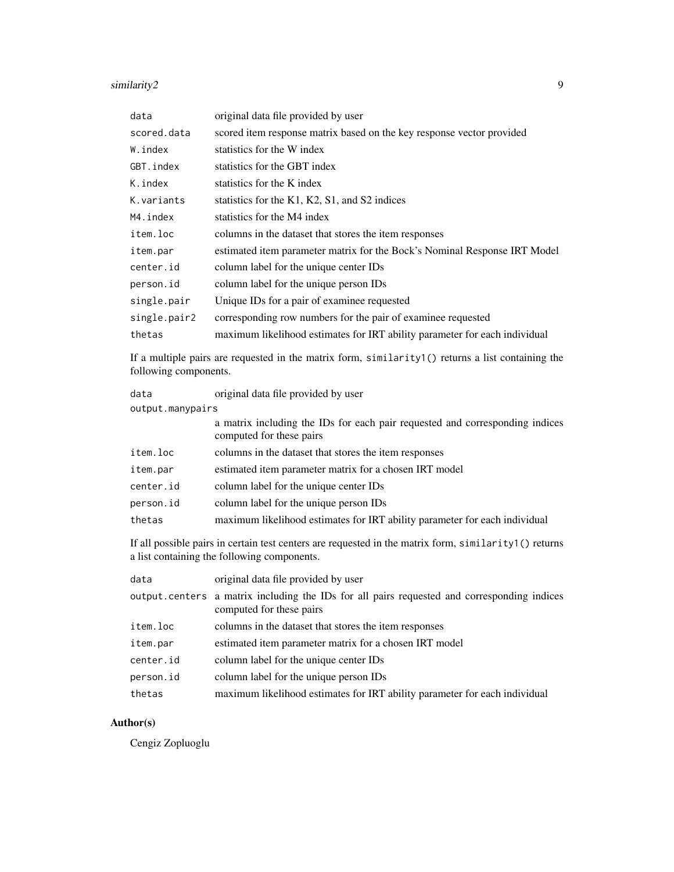#### similarity2 9

| data         | original data file provided by user                                        |
|--------------|----------------------------------------------------------------------------|
| scored.data  | scored item response matrix based on the key response vector provided      |
| W.index      | statistics for the W index                                                 |
| GBT.index    | statistics for the GBT index                                               |
| K.index      | statistics for the K index                                                 |
| K.variants   | statistics for the K1, K2, S1, and S2 indices                              |
| M4.index     | statistics for the M4 index                                                |
| item.loc     | columns in the dataset that stores the item responses                      |
| item.par     | estimated item parameter matrix for the Bock's Nominal Response IRT Model  |
| center.id    | column label for the unique center IDs                                     |
| person.id    | column label for the unique person IDs                                     |
| single.pair  | Unique IDs for a pair of examinee requested                                |
| single.pair2 | corresponding row numbers for the pair of examinee requested               |
| thetas       | maximum likelihood estimates for IRT ability parameter for each individual |
|              |                                                                            |

If a multiple pairs are requested in the matrix form, similarity1() returns a list containing the following components.

| data             | original data file provided by user                                                                      |
|------------------|----------------------------------------------------------------------------------------------------------|
| output.manypairs |                                                                                                          |
|                  | a matrix including the IDs for each pair requested and corresponding indices<br>computed for these pairs |
| item.loc         | columns in the dataset that stores the item responses                                                    |
| item.par         | estimated item parameter matrix for a chosen IRT model                                                   |
| center.id        | column label for the unique center IDs                                                                   |
| person.id        | column label for the unique person IDs                                                                   |
| thetas           | maximum likelihood estimates for IRT ability parameter for each individual                               |

If all possible pairs in certain test centers are requested in the matrix form, similarity1() returns a list containing the following components.

| data      | original data file provided by user                                                                                     |
|-----------|-------------------------------------------------------------------------------------------------------------------------|
|           | output centers a matrix including the IDs for all pairs requested and corresponding indices<br>computed for these pairs |
| item.loc  | columns in the dataset that stores the item responses                                                                   |
| item.par  | estimated item parameter matrix for a chosen IRT model                                                                  |
| center.id | column label for the unique center IDs                                                                                  |
| person.id | column label for the unique person IDs                                                                                  |
| thetas    | maximum likelihood estimates for IRT ability parameter for each individual                                              |

#### Author(s)

Cengiz Zopluoglu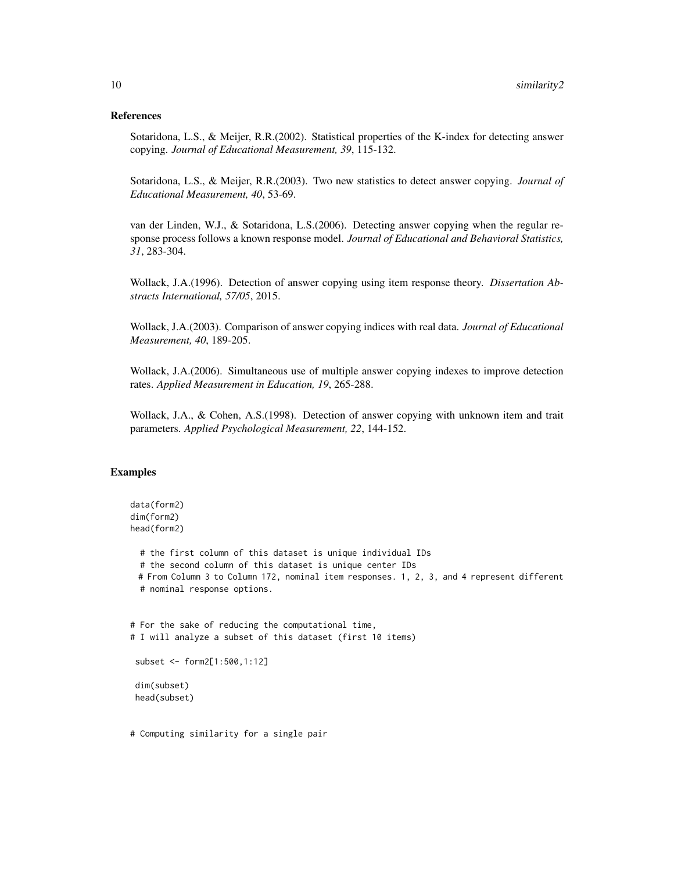#### References

Sotaridona, L.S., & Meijer, R.R.(2002). Statistical properties of the K-index for detecting answer copying. *Journal of Educational Measurement, 39*, 115-132.

Sotaridona, L.S., & Meijer, R.R.(2003). Two new statistics to detect answer copying. *Journal of Educational Measurement, 40*, 53-69.

van der Linden, W.J., & Sotaridona, L.S.(2006). Detecting answer copying when the regular response process follows a known response model. *Journal of Educational and Behavioral Statistics, 31*, 283-304.

Wollack, J.A.(1996). Detection of answer copying using item response theory. *Dissertation Abstracts International, 57/05*, 2015.

Wollack, J.A.(2003). Comparison of answer copying indices with real data. *Journal of Educational Measurement, 40*, 189-205.

Wollack, J.A.(2006). Simultaneous use of multiple answer copying indexes to improve detection rates. *Applied Measurement in Education, 19*, 265-288.

Wollack, J.A., & Cohen, A.S.(1998). Detection of answer copying with unknown item and trait parameters. *Applied Psychological Measurement, 22*, 144-152.

#### Examples

```
data(form2)
dim(form2)
head(form2)
 # the first column of this dataset is unique individual IDs
 # the second column of this dataset is unique center IDs
 # From Column 3 to Column 172, nominal item responses. 1, 2, 3, and 4 represent different
 # nominal response options.
# For the sake of reducing the computational time,
# I will analyze a subset of this dataset (first 10 items)
 subset <- form2[1:500,1:12]
 dim(subset)
head(subset)
```
# Computing similarity for a single pair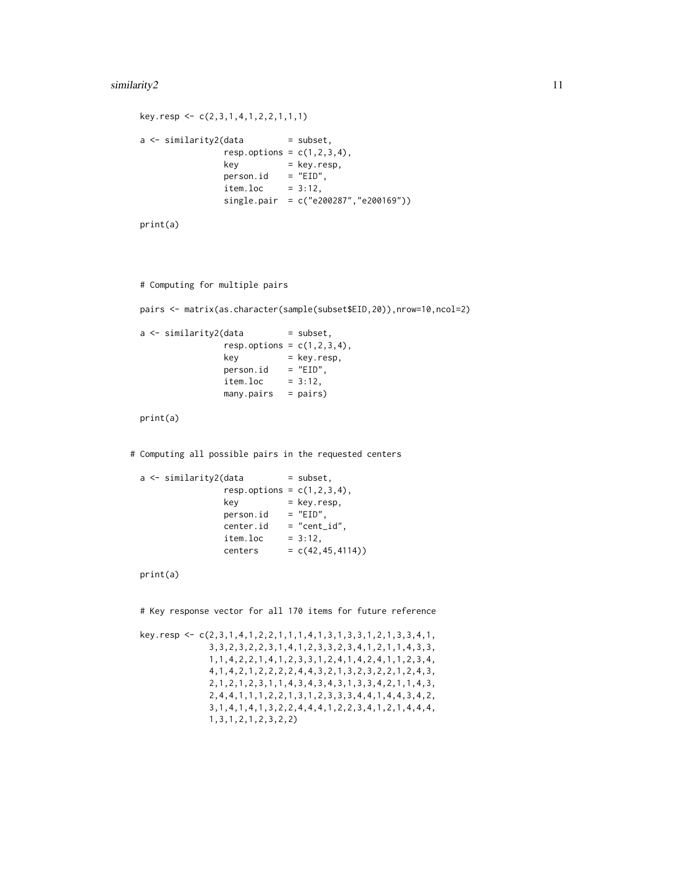```
key.resp <- c(2,3,1,4,1,2,2,1,1,1)
a \leftarrow similarity2(data = subset,
                 resp. options = c(1, 2, 3, 4),key = key.resp,
                 person.id = "EID",item.loc = <math>3:12</math>,single.pair = c("e200287","e200169"))
```
print(a)

```
# Computing for multiple pairs
```
pairs <- matrix(as.character(sample(subset\$EID,20)),nrow=10,ncol=2)

 $a \leftarrow$  similarity2(data = subset,  $resp. options = c(1, 2, 3, 4),$ key = key.resp,  $person.id = "EID",$  $item.loc = 3:12,$ many.pairs = pairs)

print(a)

# Computing all possible pairs in the requested centers

 $a \leftarrow$  similarity2(data = subset,  $resp. options = c(1,2,3,4),$ key = key.resp,  $person.id = "EID",$  $center.id = "cent_id",$  $item.loc =  $3:12$ ,$ centers =  $c(42, 45, 4114)$ )

print(a)

# Key response vector for all 170 items for future reference

key.resp <- c(2,3,1,4,1,2,2,1,1,1,4,1,3,1,3,3,1,2,1,3,3,4,1, 3,3,2,3,2,2,3,1,4,1,2,3,3,2,3,4,1,2,1,1,4,3,3, 1,1,4,2,2,1,4,1,2,3,3,1,2,4,1,4,2,4,1,1,2,3,4, 4,1,4,2,1,2,2,2,2,4,4,3,2,1,3,2,3,2,2,1,2,4,3, 2,1,2,1,2,3,1,1,4,3,4,3,4,3,1,3,3,4,2,1,1,4,3, 2,4,4,1,1,1,2,2,1,3,1,2,3,3,3,4,4,1,4,4,3,4,2, 3,1,4,1,4,1,3,2,2,4,4,4,1,2,2,3,4,1,2,1,4,4,4, 1,3,1,2,1,2,3,2,2)